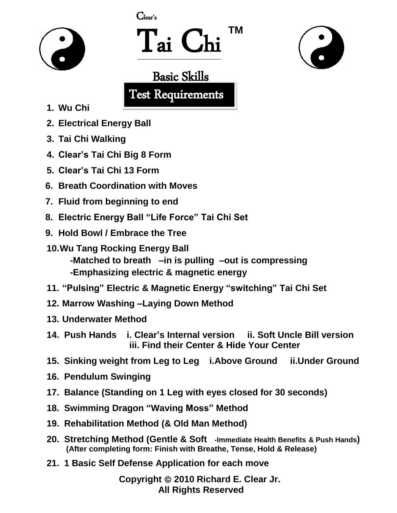



 Tai Chi **TM**



#### Basic Skills

Test Requirements

- **1. Wu Chi**
- **2. Electrical Energy Ball**
- **3. Tai Chi Walking**
- **4. Clear's Tai Chi Big 8 Form**
- **5. Clear's Tai Chi 13 Form**
- **6. Breath Coordination with Moves**
- **7. Fluid from beginning to end**
- **8. Electric Energy Ball "Life Force" Tai Chi Set**
- **9. Hold Bowl / Embrace the Tree**
- **10.Wu Tang Rocking Energy Ball -Matched to breath –in is pulling –out is compressing -Emphasizing electric & magnetic energy**
- **11. "Pulsing" Electric & Magnetic Energy "switching" Tai Chi Set**
- **12. Marrow Washing –Laying Down Method**
- **13. Underwater Method**
- **14. Push Hands i. Clear's Internal version ii. Soft Uncle Bill version iii. Find their Center & Hide Your Center**
- **15. Sinking weight from Leg to Leg i.Above Ground ii.Under Ground**
- **16. Pendulum Swinging**
- **17. Balance (Standing on 1 Leg with eyes closed for 30 seconds)**
- **18. Swimming Dragon "Waving Moss" Method**
- **19. Rehabilitation Method (& Old Man Method)**
- **20. Stretching Method (Gentle & Soft -Immediate Health Benefits & Push Hands) (After completing form: Finish with Breathe, Tense, Hold & Release)**
- **21. 1 Basic Self Defense Application for each move**

**Copyright 2010 Richard E. Clear Jr. All Rights Reserved**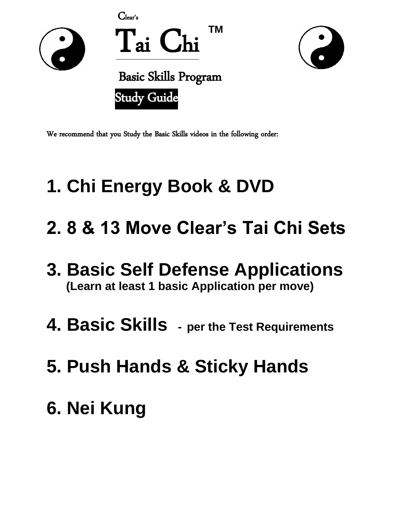



### **1. Chi Energy Book & DVD**

- **2. 8 & 13 Move Clear's Tai Chi Sets**
- **3. Basic Self Defense Applications (Learn at least 1 basic Application per move)**
- **4. Basic Skills - per the Test Requirements**
- **5. Push Hands & Sticky Hands**
- **6. Nei Kung**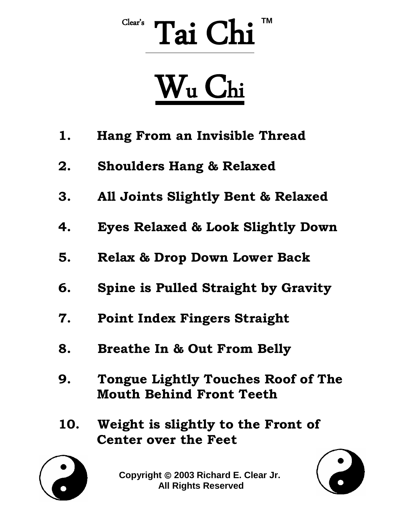# Clear's Tai Chi<sup>™</sup>

# W<sup>u</sup> Chi

- **1. Hang From an Invisible Thread**
- **2. Shoulders Hang & Relaxed**
- **3. All Joints Slightly Bent & Relaxed**
- **4. Eyes Relaxed & Look Slightly Down**
- **5. Relax & Drop Down Lower Back**
- **6. Spine is Pulled Straight by Gravity**
- **7. Point Index Fingers Straight**
- **8. Breathe In & Out From Belly**
- **9. Tongue Lightly Touches Roof of The Mouth Behind Front Teeth**
- **10. Weight is slightly to the Front of Center over the Feet**



**Copyright 2003 Richard E. Clear Jr. All Rights Reserved**

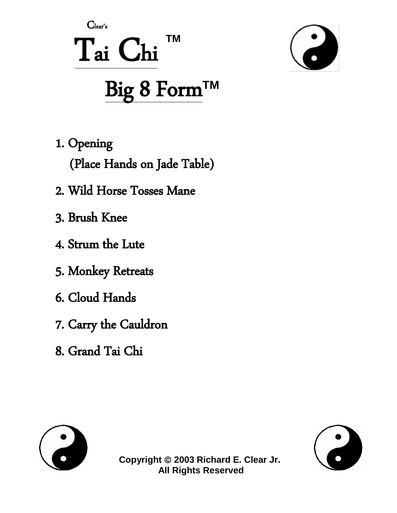#### $C<sub>lear's</sub>$ **TM** Tai Chi Big 8 Form™



1. Opening

(Place Hands on Jade Table)

- 2. Wild Horse Tosses Mane
- 3. Brush Knee
- 4. Strum the Lute
- 5. Monkey Retreats
- 6. Cloud Hands
- 7. Carry the Cauldron
- 8. Grand Tai Chi





Copyright © 2003 Richard E. Clear Jr. **All Rights Reserved**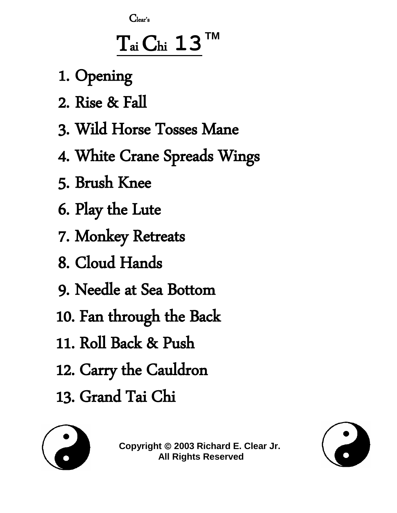$C<sub>lear's</sub>$ 

## $\rm T_{\rm ai}\rm C_{\rm hi}$  13

- 1. Opening
- 2. Rise & Fall
- 3. Wild Horse Tosses Mane
- 4. White Crane Spreads Wings
- 5. Brush Knee
- 6. Play the Lute
- 7. Monkey Retreats
- 8. Cloud Hands
- 9. Needle at Sea Bottom
- 10. Fan through the Back
- 11. Roll Back & Push
- 12. Carry the Cauldron
- 13. Grand Tai Chi



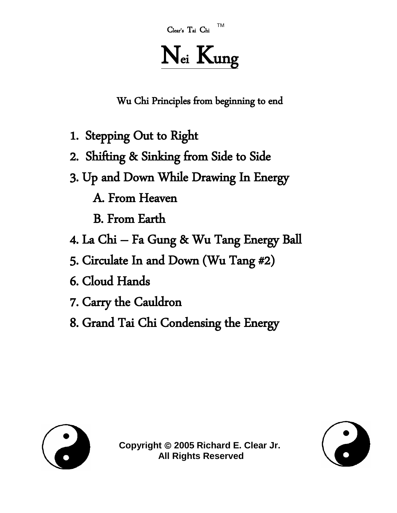TM <sup>C</sup>lear's <sup>T</sup>ai <sup>C</sup>hi

## Nei Kung

Wu Chi Principles from beginning to end

- 1. Stepping Out to Right
- 2. Shifting & Sinking from Side to Side
- 3. Up and Down While Drawing In Energy

A. From Heaven

B. From Earth

- 4.La Chi Fa Gung & Wu Tang Energy Ball
- 5. Circulate In and Down (Wu Tang #2)
- 6. Cloud Hands
- 7. Carry the Cauldron
- 8. Grand Tai Chi Condensing the Energy



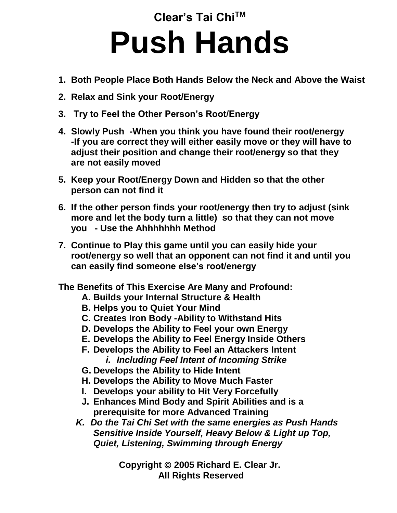**Clear's Tai ChiTM**

## **Push Hands**

- **1. Both People Place Both Hands Below the Neck and Above the Waist**
- **2. Relax and Sink your Root/Energy**
- **3. Try to Feel the Other Person's Root/Energy**
- **4. Slowly Push -When you think you have found their root/energy -If you are correct they will either easily move or they will have to adjust their position and change their root/energy so that they are not easily moved**
- **5. Keep your Root/Energy Down and Hidden so that the other person can not find it**
- **6. If the other person finds your root/energy then try to adjust (sink more and let the body turn a little) so that they can not move you - Use the Ahhhhhhh Method**
- **7. Continue to Play this game until you can easily hide your root/energy so well that an opponent can not find it and until you can easily find someone else's root/energy**

**The Benefits of This Exercise Are Many and Profound:**

- **A. Builds your Internal Structure & Health**
- **B. Helps you to Quiet Your Mind**
- **C. Creates Iron Body -Ability to Withstand Hits**
- **D. Develops the Ability to Feel your own Energy**
- **E. Develops the Ability to Feel Energy Inside Others**
- **F. Develops the Ability to Feel an Attackers Intent** *i. Including Feel Intent of Incoming Strike*
- **G. Develops the Ability to Hide Intent**
- **H. Develops the Ability to Move Much Faster**
- **I. Develops your ability to Hit Very Forcefully**
- **J. Enhances Mind Body and Spirit Abilities and is a prerequisite for more Advanced Training**
- *K. Do the Tai Chi Set with the same energies as Push Hands Sensitive Inside Yourself, Heavy Below & Light up Top, Quiet, Listening, Swimming through Energy*

**Copyright 2005 Richard E. Clear Jr. All Rights Reserved**